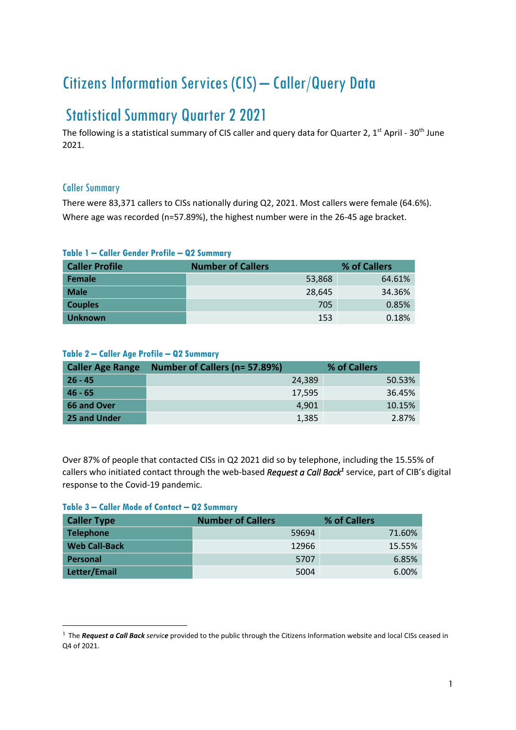# Citizens Information Services (CIS) – Caller/Query Data

# Statistical Summary Quarter 2 2021

The following is a statistical summary of CIS caller and query data for Quarter 2, 1<sup>st</sup> April - 30<sup>th</sup> June 2021.

## Caller Summary

There were 83,371 callers to CISs nationally during Q2, 2021. Most callers were female (64.6%). Where age was recorded (n=57.89%), the highest number were in the 26-45 age bracket.

| <b>Caller Profile</b> | <b>Number of Callers</b> | % of Callers |
|-----------------------|--------------------------|--------------|
| Female                | 53,868                   | 64.61%       |
| <b>Male</b>           | 28,645                   | 34.36%       |
| <b>Couples</b>        | 705                      | 0.85%        |
| <b>Unknown</b>        | 153                      | 0.18%        |

### **Table 1 – Caller Gender Profile – Q2 Summary**

#### **Table 2 – Caller Age Profile – Q2 Summary**

| <b>Caller Age Range</b> | Number of Callers (n= 57.89%) |        | % of Callers |        |
|-------------------------|-------------------------------|--------|--------------|--------|
| $26 - 45$               |                               | 24,389 |              | 50.53% |
| $46 - 65$               |                               | 17.595 |              | 36.45% |
| 66 and Over             |                               | 4.901  |              | 10.15% |
| 25 and Under            |                               | 1,385  |              | 2.87%  |

Over 87% of people that contacted CISs in Q2 2021 did so by telephone, including the 15.55% of callers who initiated contact through the web-based *Request a Call Back<sup>1</sup>* service, part of CIB's digital response to the Covid-19 pandemic.

#### **Table 3 – Caller Mode of Contact – Q2 Summary**

| <b>Caller Type</b>   | <b>Number of Callers</b> | % of Callers |
|----------------------|--------------------------|--------------|
| <b>Telephone</b>     | 59694                    | 71.60%       |
| <b>Web Call-Back</b> | 12966                    | 15.55%       |
| Personal             | 5707                     | 6.85%        |
| Letter/Email         | 5004                     | 6.00%        |

<sup>&</sup>lt;sup>1</sup> The *Request a Call Back service* provided to the public through the Citizens Information website and local CISs ceased in Q4 of 2021.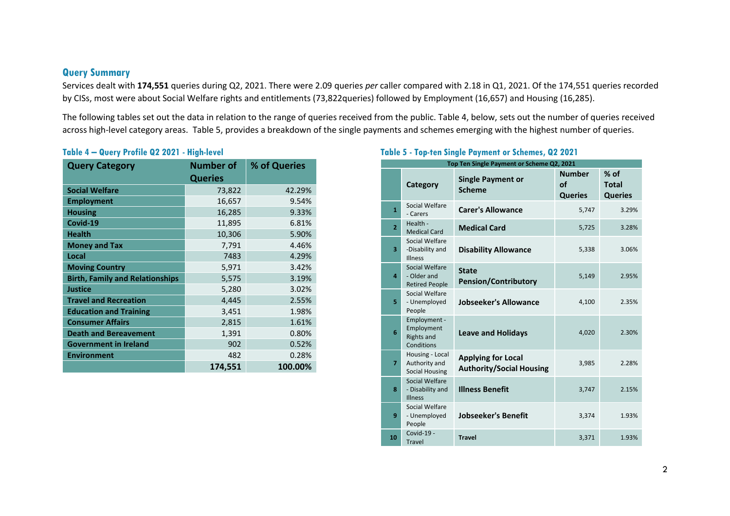## **Query Summary**

Services dealt with **174,551** queries during Q2, 2021. There were 2.09 queries *per* caller compared with 2.18 in Q1, 2021. Of the 174,551 queries recorded by CISs, most were about Social Welfare rights and entitlements (73,822queries) followed by Employment (16,657) and Housing (16,285).

The following tables set out the data in relation to the range of queries received from the public. Table 4, below, sets out the number of queries received across high-level category areas. Table 5, provides a breakdown of the single payments and schemes emerging with the highest number of queries.

| <b>Query Category</b>                  | <b>Number of</b> | % of Queries |
|----------------------------------------|------------------|--------------|
|                                        | <b>Queries</b>   |              |
| <b>Social Welfare</b>                  | 73,822           | 42.29%       |
| <b>Employment</b>                      | 16,657           | 9.54%        |
| <b>Housing</b>                         | 16,285           | 9.33%        |
| Covid-19                               | 11,895           | 6.81%        |
| <b>Health</b>                          | 10,306           | 5.90%        |
| <b>Money and Tax</b>                   | 7,791            | 4.46%        |
| Local                                  | 7483             | 4.29%        |
| <b>Moving Country</b>                  | 5,971            | 3.42%        |
| <b>Birth, Family and Relationships</b> | 5,575            | 3.19%        |
| <b>Justice</b>                         | 5,280            | 3.02%        |
| <b>Travel and Recreation</b>           | 4,445            | 2.55%        |
| <b>Education and Training</b>          | 3,451            | 1.98%        |
| <b>Consumer Affairs</b>                | 2,815            | 1.61%        |
| <b>Death and Bereavement</b>           | 1,391            | 0.80%        |
| <b>Government in Ireland</b>           | 902              | 0.52%        |
| <b>Environment</b>                     | 482              | 0.28%        |
|                                        | 174,551          | 100.00%      |

## **Table 4 – Query Profile Q2 2021 - High-level**

## **Table 5 - Top-ten Single Payment or Schemes, Q2 2021**

|                         | Top Ten Single Payment or Scheme Q2, 2021                     |                                                              |                                       |                                          |  |
|-------------------------|---------------------------------------------------------------|--------------------------------------------------------------|---------------------------------------|------------------------------------------|--|
|                         | Category                                                      | <b>Single Payment or</b><br><b>Scheme</b>                    | <b>Number</b><br>οf<br><b>Queries</b> | $%$ of<br><b>Total</b><br><b>Queries</b> |  |
| $\mathbf{1}$            | Social Welfare<br>- Carers                                    | <b>Carer's Allowance</b>                                     | 5,747                                 | 3.29%                                    |  |
| $\overline{2}$          | Health -<br><b>Medical Card</b>                               | <b>Medical Card</b>                                          | 5,725                                 | 3.28%                                    |  |
| $\overline{\mathbf{3}}$ | Social Welfare<br>-Disability and<br>Illness                  | <b>Disability Allowance</b>                                  | 5,338                                 | 3.06%                                    |  |
| 4                       | Social Welfare<br>- Older and<br><b>Retired People</b>        | <b>State</b><br><b>Pension/Contributory</b>                  | 5,149                                 | 2.95%                                    |  |
| 5.                      | Social Welfare<br>- Unemployed<br>People                      | <b>Jobseeker's Allowance</b>                                 | 4,100                                 | 2.35%                                    |  |
| 6                       | Employment -<br>Employment<br><b>Rights and</b><br>Conditions | <b>Leave and Holidays</b>                                    | 4,020                                 | 2.30%                                    |  |
| $\overline{ }$          | Housing - Local<br>Authority and<br><b>Social Housing</b>     | <b>Applying for Local</b><br><b>Authority/Social Housing</b> | 3,985                                 | 2.28%                                    |  |
| 8                       | Social Welfare<br>- Disability and<br>Illness                 | <b>Illness Benefit</b>                                       | 3,747                                 | 2.15%                                    |  |
| 9                       | Social Welfare<br>- Unemployed<br>People                      | <b>Jobseeker's Benefit</b>                                   | 3,374                                 | 1.93%                                    |  |
| 10                      | Covid-19 $-$<br><b>Travel</b>                                 | <b>Travel</b>                                                | 3,371                                 | 1.93%                                    |  |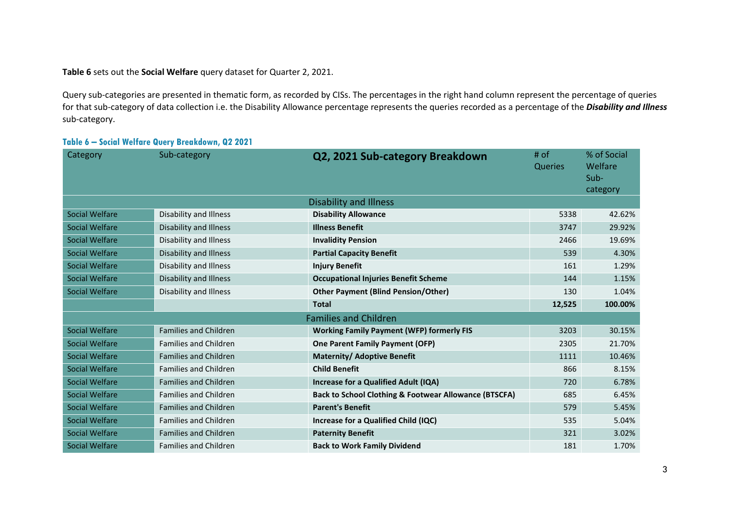**Table 6** sets out the **Social Welfare** query dataset for Quarter 2, 2021.

Query sub-categories are presented in thematic form, as recorded by CISs. The percentages in the right hand column represent the percentage of queries for that sub-category of data collection i.e. the Disability Allowance percentage represents the queries recorded as a percentage of the *Disability and Illness* sub-category.

| Category              | Sub-category                 | Q2, 2021 Sub-category Breakdown                                  | # of<br><b>Queries</b> | % of Social<br>Welfare<br>Sub-<br>category |
|-----------------------|------------------------------|------------------------------------------------------------------|------------------------|--------------------------------------------|
|                       |                              | Disability and Illness                                           |                        |                                            |
| Social Welfare        | Disability and Illness       | <b>Disability Allowance</b>                                      | 5338                   | 42.62%                                     |
| <b>Social Welfare</b> | Disability and Illness       | <b>Illness Benefit</b>                                           | 3747                   | 29.92%                                     |
| <b>Social Welfare</b> | Disability and Illness       | <b>Invalidity Pension</b>                                        | 2466                   | 19.69%                                     |
| <b>Social Welfare</b> | Disability and Illness       | <b>Partial Capacity Benefit</b>                                  | 539                    | 4.30%                                      |
| <b>Social Welfare</b> | Disability and Illness       | <b>Injury Benefit</b>                                            | 161                    | 1.29%                                      |
| <b>Social Welfare</b> | Disability and Illness       | <b>Occupational Injuries Benefit Scheme</b>                      | 144                    | 1.15%                                      |
| <b>Social Welfare</b> | Disability and Illness       | <b>Other Payment (Blind Pension/Other)</b>                       | 130                    | 1.04%                                      |
|                       |                              | <b>Total</b>                                                     | 12,525                 | 100.00%                                    |
|                       |                              | <b>Families and Children</b>                                     |                        |                                            |
| <b>Social Welfare</b> | <b>Families and Children</b> | <b>Working Family Payment (WFP) formerly FIS</b>                 | 3203                   | 30.15%                                     |
| <b>Social Welfare</b> | <b>Families and Children</b> | <b>One Parent Family Payment (OFP)</b>                           | 2305                   | 21.70%                                     |
| <b>Social Welfare</b> | <b>Families and Children</b> | <b>Maternity/ Adoptive Benefit</b>                               | 1111                   | 10.46%                                     |
| <b>Social Welfare</b> | <b>Families and Children</b> | <b>Child Benefit</b>                                             | 866                    | 8.15%                                      |
| <b>Social Welfare</b> | <b>Families and Children</b> | Increase for a Qualified Adult (IQA)                             | 720                    | 6.78%                                      |
| <b>Social Welfare</b> | <b>Families and Children</b> | <b>Back to School Clothing &amp; Footwear Allowance (BTSCFA)</b> | 685                    | 6.45%                                      |
| <b>Social Welfare</b> | <b>Families and Children</b> | <b>Parent's Benefit</b>                                          | 579                    | 5.45%                                      |
| <b>Social Welfare</b> | <b>Families and Children</b> | Increase for a Qualified Child (IQC)                             | 535                    | 5.04%                                      |
| <b>Social Welfare</b> | <b>Families and Children</b> | <b>Paternity Benefit</b>                                         | 321                    | 3.02%                                      |
| <b>Social Welfare</b> | <b>Families and Children</b> | <b>Back to Work Family Dividend</b>                              | 181                    | 1.70%                                      |

## **Table 6 – Social Welfare Query Breakdown, Q2 2021**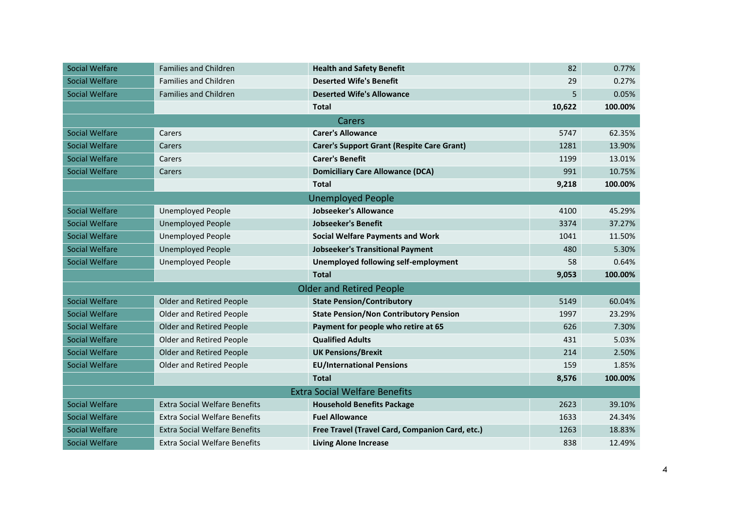| <b>Social Welfare</b> | <b>Families and Children</b>         | <b>Health and Safety Benefit</b>                  | 82     | 0.77%   |
|-----------------------|--------------------------------------|---------------------------------------------------|--------|---------|
| <b>Social Welfare</b> | <b>Families and Children</b>         | <b>Deserted Wife's Benefit</b>                    | 29     | 0.27%   |
| <b>Social Welfare</b> | <b>Families and Children</b>         | <b>Deserted Wife's Allowance</b>                  | 5      | 0.05%   |
|                       |                                      | <b>Total</b>                                      | 10,622 | 100.00% |
|                       |                                      | <b>Carers</b>                                     |        |         |
| <b>Social Welfare</b> | Carers                               | <b>Carer's Allowance</b>                          | 5747   | 62.35%  |
| <b>Social Welfare</b> | Carers                               | <b>Carer's Support Grant (Respite Care Grant)</b> | 1281   | 13.90%  |
| Social Welfare        | Carers                               | <b>Carer's Benefit</b>                            | 1199   | 13.01%  |
| <b>Social Welfare</b> | Carers                               | <b>Domiciliary Care Allowance (DCA)</b>           | 991    | 10.75%  |
|                       |                                      | <b>Total</b>                                      | 9,218  | 100.00% |
|                       |                                      | <b>Unemployed People</b>                          |        |         |
| <b>Social Welfare</b> | <b>Unemployed People</b>             | <b>Jobseeker's Allowance</b>                      | 4100   | 45.29%  |
| <b>Social Welfare</b> | Unemployed People                    | <b>Jobseeker's Benefit</b>                        | 3374   | 37.27%  |
| <b>Social Welfare</b> | <b>Unemployed People</b>             | <b>Social Welfare Payments and Work</b>           | 1041   | 11.50%  |
| <b>Social Welfare</b> | <b>Unemployed People</b>             | <b>Jobseeker's Transitional Payment</b>           | 480    | 5.30%   |
| <b>Social Welfare</b> | <b>Unemployed People</b>             | Unemployed following self-employment              | 58     | 0.64%   |
|                       |                                      | <b>Total</b>                                      | 9,053  | 100.00% |
|                       |                                      | <b>Older and Retired People</b>                   |        |         |
| <b>Social Welfare</b> | <b>Older and Retired People</b>      | <b>State Pension/Contributory</b>                 | 5149   | 60.04%  |
| Social Welfare        | Older and Retired People             | <b>State Pension/Non Contributory Pension</b>     | 1997   | 23.29%  |
| <b>Social Welfare</b> | <b>Older and Retired People</b>      | Payment for people who retire at 65               | 626    | 7.30%   |
| Social Welfare        | <b>Older and Retired People</b>      | <b>Qualified Adults</b>                           | 431    | 5.03%   |
| <b>Social Welfare</b> | <b>Older and Retired People</b>      | <b>UK Pensions/Brexit</b>                         | 214    | 2.50%   |
| <b>Social Welfare</b> | Older and Retired People             | <b>EU/International Pensions</b>                  | 159    | 1.85%   |
|                       |                                      | <b>Total</b>                                      | 8,576  | 100.00% |
|                       |                                      | <b>Extra Social Welfare Benefits</b>              |        |         |
| <b>Social Welfare</b> | <b>Extra Social Welfare Benefits</b> | <b>Household Benefits Package</b>                 | 2623   | 39.10%  |
| <b>Social Welfare</b> | <b>Extra Social Welfare Benefits</b> | <b>Fuel Allowance</b>                             | 1633   | 24.34%  |
| <b>Social Welfare</b> | <b>Extra Social Welfare Benefits</b> | Free Travel (Travel Card, Companion Card, etc.)   | 1263   | 18.83%  |
| Social Welfare        | <b>Extra Social Welfare Benefits</b> | <b>Living Alone Increase</b>                      | 838    | 12.49%  |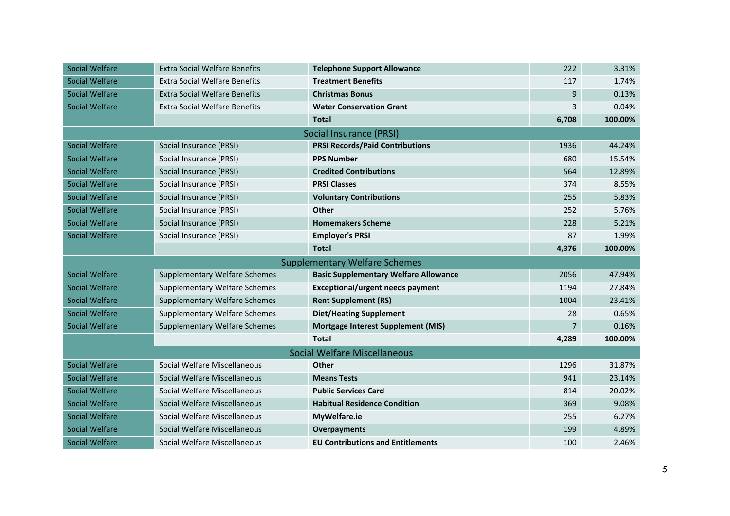| <b>Social Welfare</b> | <b>Extra Social Welfare Benefits</b> | <b>Telephone Support Allowance</b>           | 222            | 3.31%   |
|-----------------------|--------------------------------------|----------------------------------------------|----------------|---------|
| <b>Social Welfare</b> | <b>Extra Social Welfare Benefits</b> | <b>Treatment Benefits</b>                    | 117            | 1.74%   |
| <b>Social Welfare</b> | <b>Extra Social Welfare Benefits</b> | <b>Christmas Bonus</b>                       | 9              | 0.13%   |
| <b>Social Welfare</b> | <b>Extra Social Welfare Benefits</b> | <b>Water Conservation Grant</b>              | 3              | 0.04%   |
|                       |                                      | <b>Total</b>                                 | 6,708          | 100.00% |
|                       |                                      | Social Insurance (PRSI)                      |                |         |
| <b>Social Welfare</b> | Social Insurance (PRSI)              | <b>PRSI Records/Paid Contributions</b>       | 1936           | 44.24%  |
| <b>Social Welfare</b> | Social Insurance (PRSI)              | <b>PPS Number</b>                            | 680            | 15.54%  |
| <b>Social Welfare</b> | Social Insurance (PRSI)              | <b>Credited Contributions</b>                | 564            | 12.89%  |
| <b>Social Welfare</b> | Social Insurance (PRSI)              | <b>PRSI Classes</b>                          | 374            | 8.55%   |
| <b>Social Welfare</b> | Social Insurance (PRSI)              | <b>Voluntary Contributions</b>               | 255            | 5.83%   |
| <b>Social Welfare</b> | Social Insurance (PRSI)              | Other                                        | 252            | 5.76%   |
| <b>Social Welfare</b> | Social Insurance (PRSI)              | <b>Homemakers Scheme</b>                     | 228            | 5.21%   |
| <b>Social Welfare</b> | Social Insurance (PRSI)              | <b>Employer's PRSI</b>                       | 87             | 1.99%   |
|                       |                                      | <b>Total</b>                                 | 4,376          | 100.00% |
|                       |                                      |                                              |                |         |
|                       |                                      | <b>Supplementary Welfare Schemes</b>         |                |         |
| <b>Social Welfare</b> | <b>Supplementary Welfare Schemes</b> | <b>Basic Supplementary Welfare Allowance</b> | 2056           | 47.94%  |
| <b>Social Welfare</b> | <b>Supplementary Welfare Schemes</b> | <b>Exceptional/urgent needs payment</b>      | 1194           | 27.84%  |
| <b>Social Welfare</b> | <b>Supplementary Welfare Schemes</b> | <b>Rent Supplement (RS)</b>                  | 1004           | 23.41%  |
| <b>Social Welfare</b> | <b>Supplementary Welfare Schemes</b> | <b>Diet/Heating Supplement</b>               | 28             | 0.65%   |
| <b>Social Welfare</b> | <b>Supplementary Welfare Schemes</b> | <b>Mortgage Interest Supplement (MIS)</b>    | $\overline{7}$ | 0.16%   |
|                       |                                      | <b>Total</b>                                 | 4,289          | 100.00% |
|                       |                                      | <b>Social Welfare Miscellaneous</b>          |                |         |
| <b>Social Welfare</b> | Social Welfare Miscellaneous         | <b>Other</b>                                 | 1296           | 31.87%  |
| <b>Social Welfare</b> | Social Welfare Miscellaneous         | <b>Means Tests</b>                           | 941            | 23.14%  |
| <b>Social Welfare</b> | Social Welfare Miscellaneous         | <b>Public Services Card</b>                  | 814            | 20.02%  |
| <b>Social Welfare</b> | Social Welfare Miscellaneous         | <b>Habitual Residence Condition</b>          | 369            | 9.08%   |
| <b>Social Welfare</b> | Social Welfare Miscellaneous         | MyWelfare.ie                                 | 255            | 6.27%   |
| <b>Social Welfare</b> | Social Welfare Miscellaneous         | <b>Overpayments</b>                          | 199            | 4.89%   |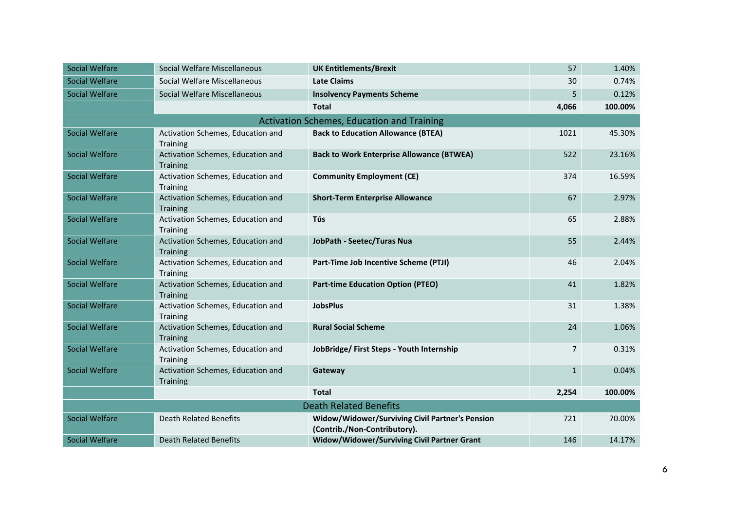| <b>Social Welfare</b> | Social Welfare Miscellaneous                         | <b>UK Entitlements/Brexit</b>                                                   | 57             | 1.40%   |
|-----------------------|------------------------------------------------------|---------------------------------------------------------------------------------|----------------|---------|
| <b>Social Welfare</b> | Social Welfare Miscellaneous                         | <b>Late Claims</b>                                                              | 30             | 0.74%   |
| <b>Social Welfare</b> | Social Welfare Miscellaneous                         | <b>Insolvency Payments Scheme</b>                                               | 5              | 0.12%   |
|                       |                                                      | <b>Total</b>                                                                    | 4,066          | 100.00% |
|                       |                                                      | <b>Activation Schemes, Education and Training</b>                               |                |         |
| <b>Social Welfare</b> | Activation Schemes, Education and<br><b>Training</b> | <b>Back to Education Allowance (BTEA)</b>                                       | 1021           | 45.30%  |
| <b>Social Welfare</b> | Activation Schemes, Education and<br><b>Training</b> | <b>Back to Work Enterprise Allowance (BTWEA)</b>                                | 522            | 23.16%  |
| <b>Social Welfare</b> | Activation Schemes, Education and<br><b>Training</b> | <b>Community Employment (CE)</b>                                                | 374            | 16.59%  |
| <b>Social Welfare</b> | Activation Schemes, Education and<br><b>Training</b> | <b>Short-Term Enterprise Allowance</b>                                          | 67             | 2.97%   |
| <b>Social Welfare</b> | Activation Schemes, Education and<br><b>Training</b> | Tús                                                                             | 65             | 2.88%   |
| <b>Social Welfare</b> | Activation Schemes, Education and<br><b>Training</b> | JobPath - Seetec/Turas Nua                                                      | 55             | 2.44%   |
| <b>Social Welfare</b> | Activation Schemes, Education and<br><b>Training</b> | Part-Time Job Incentive Scheme (PTJI)                                           | 46             | 2.04%   |
| <b>Social Welfare</b> | Activation Schemes, Education and<br><b>Training</b> | <b>Part-time Education Option (PTEO)</b>                                        | 41             | 1.82%   |
| <b>Social Welfare</b> | Activation Schemes, Education and<br><b>Training</b> | <b>JobsPlus</b>                                                                 | 31             | 1.38%   |
| <b>Social Welfare</b> | Activation Schemes, Education and<br><b>Training</b> | <b>Rural Social Scheme</b>                                                      | 24             | 1.06%   |
| <b>Social Welfare</b> | Activation Schemes, Education and<br><b>Training</b> | JobBridge/ First Steps - Youth Internship                                       | $\overline{7}$ | 0.31%   |
| <b>Social Welfare</b> | Activation Schemes, Education and<br><b>Training</b> | Gateway                                                                         | $\mathbf{1}$   | 0.04%   |
|                       |                                                      | <b>Total</b>                                                                    | 2,254          | 100.00% |
|                       |                                                      | <b>Death Related Benefits</b>                                                   |                |         |
| <b>Social Welfare</b> | <b>Death Related Benefits</b>                        | Widow/Widower/Surviving Civil Partner's Pension<br>(Contrib./Non-Contributory). | 721            | 70.00%  |
| <b>Social Welfare</b> | <b>Death Related Benefits</b>                        | Widow/Widower/Surviving Civil Partner Grant                                     | 146            | 14.17%  |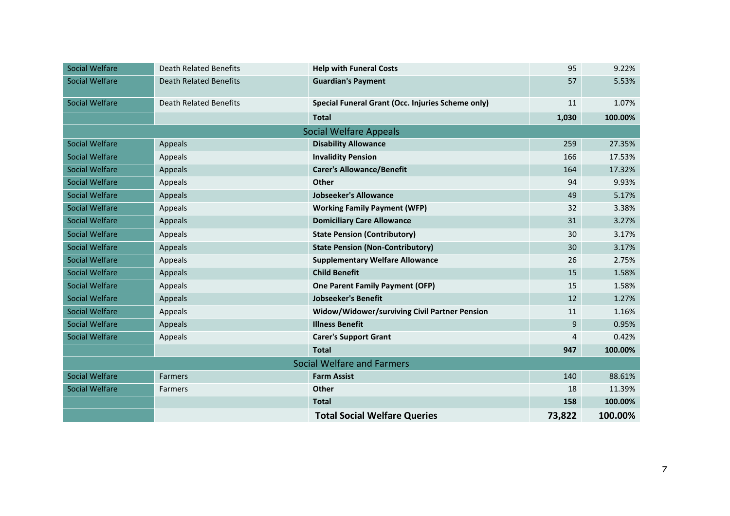| <b>Social Welfare</b> | <b>Death Related Benefits</b> | <b>Help with Funeral Costs</b>                    | 95     | 9.22%   |
|-----------------------|-------------------------------|---------------------------------------------------|--------|---------|
| <b>Social Welfare</b> | <b>Death Related Benefits</b> | <b>Guardian's Payment</b>                         | 57     | 5.53%   |
| <b>Social Welfare</b> | <b>Death Related Benefits</b> | Special Funeral Grant (Occ. Injuries Scheme only) | 11     | 1.07%   |
|                       |                               | <b>Total</b>                                      | 1,030  | 100.00% |
|                       |                               | <b>Social Welfare Appeals</b>                     |        |         |
| <b>Social Welfare</b> | Appeals                       | <b>Disability Allowance</b>                       | 259    | 27.35%  |
| <b>Social Welfare</b> | Appeals                       | <b>Invalidity Pension</b>                         | 166    | 17.53%  |
| <b>Social Welfare</b> | Appeals                       | <b>Carer's Allowance/Benefit</b>                  | 164    | 17.32%  |
| <b>Social Welfare</b> | Appeals                       | <b>Other</b>                                      | 94     | 9.93%   |
| <b>Social Welfare</b> | Appeals                       | <b>Jobseeker's Allowance</b>                      | 49     | 5.17%   |
| <b>Social Welfare</b> | Appeals                       | <b>Working Family Payment (WFP)</b>               | 32     | 3.38%   |
| Social Welfare        | Appeals                       | <b>Domiciliary Care Allowance</b>                 | 31     | 3.27%   |
| <b>Social Welfare</b> | Appeals                       | <b>State Pension (Contributory)</b>               | 30     | 3.17%   |
| <b>Social Welfare</b> | Appeals                       | <b>State Pension (Non-Contributory)</b>           | 30     | 3.17%   |
| <b>Social Welfare</b> | Appeals                       | <b>Supplementary Welfare Allowance</b>            | 26     | 2.75%   |
| <b>Social Welfare</b> | Appeals                       | <b>Child Benefit</b>                              | 15     | 1.58%   |
| <b>Social Welfare</b> | Appeals                       | <b>One Parent Family Payment (OFP)</b>            | 15     | 1.58%   |
| <b>Social Welfare</b> | Appeals                       | <b>Jobseeker's Benefit</b>                        | 12     | 1.27%   |
| <b>Social Welfare</b> | Appeals                       | Widow/Widower/surviving Civil Partner Pension     | 11     | 1.16%   |
| <b>Social Welfare</b> | Appeals                       | <b>Illness Benefit</b>                            | 9      | 0.95%   |
| <b>Social Welfare</b> | Appeals                       | <b>Carer's Support Grant</b>                      | 4      | 0.42%   |
|                       |                               | <b>Total</b>                                      | 947    | 100.00% |
|                       |                               | <b>Social Welfare and Farmers</b>                 |        |         |
| <b>Social Welfare</b> | <b>Farmers</b>                | <b>Farm Assist</b>                                | 140    | 88.61%  |
| <b>Social Welfare</b> | <b>Farmers</b>                | Other                                             | 18     | 11.39%  |
|                       |                               | <b>Total</b>                                      | 158    | 100.00% |
|                       |                               | <b>Total Social Welfare Queries</b>               | 73,822 | 100.00% |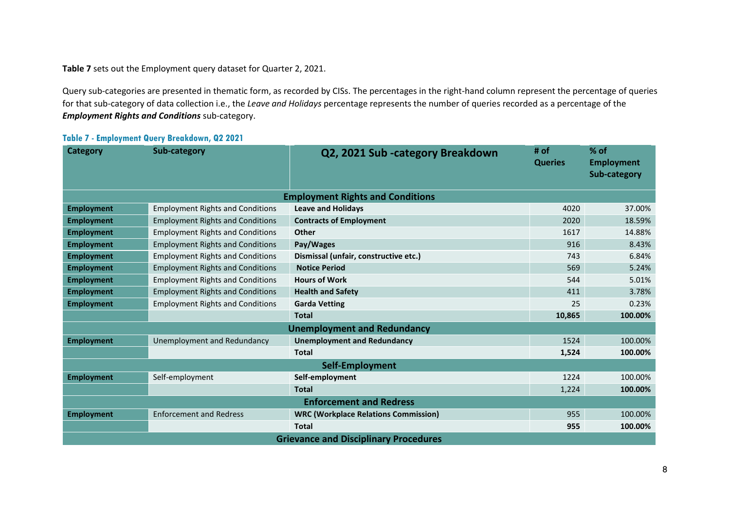**Table 7** sets out the Employment query dataset for Quarter 2, 2021.

Query sub-categories are presented in thematic form, as recorded by CISs. The percentages in the right-hand column represent the percentage of queries for that sub-category of data collection i.e., the *Leave and Holidays* percentage represents the number of queries recorded as a percentage of the *Employment Rights and Conditions* sub-category.

#### **Table 7 - Employment Query Breakdown, Q2 2021**

| <b>Category</b>   | Sub-category                                 | Q2, 2021 Sub-category Breakdown             | # of<br><b>Queries</b> | $%$ of<br><b>Employment</b> |  |
|-------------------|----------------------------------------------|---------------------------------------------|------------------------|-----------------------------|--|
|                   |                                              |                                             |                        | Sub-category                |  |
|                   |                                              | <b>Employment Rights and Conditions</b>     |                        |                             |  |
| <b>Employment</b> | <b>Employment Rights and Conditions</b>      | <b>Leave and Holidays</b>                   | 4020                   | 37.00%                      |  |
| <b>Employment</b> | <b>Employment Rights and Conditions</b>      | <b>Contracts of Employment</b>              | 2020                   | 18.59%                      |  |
| <b>Employment</b> | <b>Employment Rights and Conditions</b>      | Other                                       | 1617                   | 14.88%                      |  |
| <b>Employment</b> | <b>Employment Rights and Conditions</b>      | Pay/Wages                                   | 916                    | 8.43%                       |  |
| <b>Employment</b> | <b>Employment Rights and Conditions</b>      | Dismissal (unfair, constructive etc.)       | 743                    | 6.84%                       |  |
| <b>Employment</b> | <b>Employment Rights and Conditions</b>      | <b>Notice Period</b>                        | 569                    | 5.24%                       |  |
| <b>Employment</b> | <b>Employment Rights and Conditions</b>      | <b>Hours of Work</b>                        | 544                    | 5.01%                       |  |
| <b>Employment</b> | <b>Employment Rights and Conditions</b>      | <b>Health and Safety</b>                    | 411                    | 3.78%                       |  |
| <b>Employment</b> | <b>Employment Rights and Conditions</b>      | <b>Garda Vetting</b>                        | 25                     | 0.23%                       |  |
|                   |                                              | <b>Total</b>                                | 10,865                 | 100.00%                     |  |
|                   |                                              | <b>Unemployment and Redundancy</b>          |                        |                             |  |
| <b>Employment</b> | Unemployment and Redundancy                  | <b>Unemployment and Redundancy</b>          | 1524                   | 100.00%                     |  |
|                   |                                              | <b>Total</b>                                | 1,524                  | 100.00%                     |  |
|                   |                                              | Self-Employment                             |                        |                             |  |
| <b>Employment</b> | Self-employment                              | Self-employment                             | 1224                   | 100.00%                     |  |
|                   |                                              | <b>Total</b>                                | 1,224                  | 100.00%                     |  |
|                   |                                              | <b>Enforcement and Redress</b>              |                        |                             |  |
| <b>Employment</b> | <b>Enforcement and Redress</b>               | <b>WRC (Workplace Relations Commission)</b> | 955                    | 100.00%                     |  |
|                   |                                              | <b>Total</b>                                | 955                    | 100.00%                     |  |
|                   | <b>Grievance and Disciplinary Procedures</b> |                                             |                        |                             |  |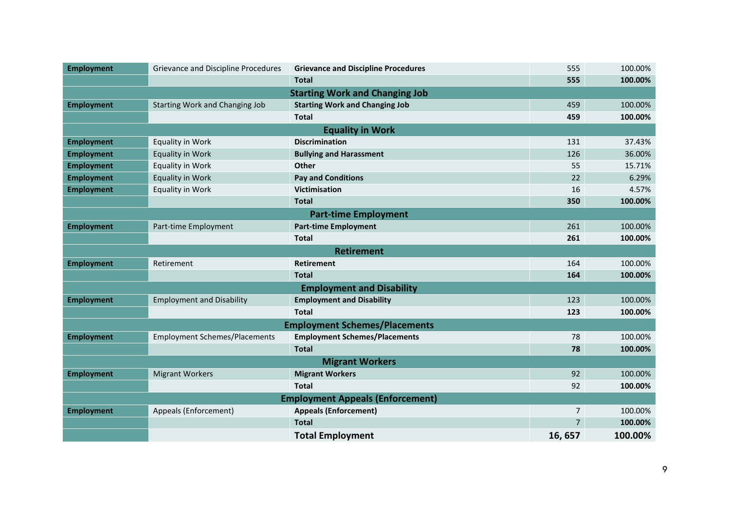| <b>Employment</b> | Grievance and Discipline Procedures   | <b>Grievance and Discipline Procedures</b> | 555            | 100.00% |  |  |
|-------------------|---------------------------------------|--------------------------------------------|----------------|---------|--|--|
|                   |                                       | <b>Total</b>                               | 555            | 100.00% |  |  |
|                   | <b>Starting Work and Changing Job</b> |                                            |                |         |  |  |
| <b>Employment</b> | <b>Starting Work and Changing Job</b> | <b>Starting Work and Changing Job</b>      | 459            | 100.00% |  |  |
|                   |                                       | <b>Total</b>                               | 459            | 100.00% |  |  |
|                   |                                       | <b>Equality in Work</b>                    |                |         |  |  |
| <b>Employment</b> | <b>Equality in Work</b>               | <b>Discrimination</b>                      | 131            | 37.43%  |  |  |
| <b>Employment</b> | Equality in Work                      | <b>Bullying and Harassment</b>             | 126            | 36.00%  |  |  |
| <b>Employment</b> | Equality in Work                      | Other                                      | 55             | 15.71%  |  |  |
| <b>Employment</b> | <b>Equality in Work</b>               | <b>Pay and Conditions</b>                  | 22             | 6.29%   |  |  |
| <b>Employment</b> | Equality in Work                      | <b>Victimisation</b>                       | 16             | 4.57%   |  |  |
|                   |                                       | <b>Total</b>                               | 350            | 100.00% |  |  |
|                   |                                       | <b>Part-time Employment</b>                |                |         |  |  |
| <b>Employment</b> | Part-time Employment                  | <b>Part-time Employment</b>                | 261            | 100.00% |  |  |
|                   |                                       | <b>Total</b>                               | 261            | 100.00% |  |  |
|                   |                                       | <b>Retirement</b>                          |                |         |  |  |
| <b>Employment</b> | Retirement                            | <b>Retirement</b>                          | 164            | 100.00% |  |  |
|                   |                                       | <b>Total</b>                               | 164            | 100.00% |  |  |
|                   |                                       | <b>Employment and Disability</b>           |                |         |  |  |
| <b>Employment</b> | <b>Employment and Disability</b>      | <b>Employment and Disability</b>           | 123            | 100.00% |  |  |
|                   |                                       | <b>Total</b>                               | 123            | 100.00% |  |  |
|                   |                                       | <b>Employment Schemes/Placements</b>       |                |         |  |  |
| <b>Employment</b> | <b>Employment Schemes/Placements</b>  | <b>Employment Schemes/Placements</b>       | 78             | 100.00% |  |  |
|                   |                                       | <b>Total</b>                               | 78             | 100.00% |  |  |
|                   |                                       | <b>Migrant Workers</b>                     |                |         |  |  |
| <b>Employment</b> | <b>Migrant Workers</b>                | <b>Migrant Workers</b>                     | 92             | 100.00% |  |  |
|                   |                                       | <b>Total</b>                               | 92             | 100.00% |  |  |
|                   |                                       | <b>Employment Appeals (Enforcement)</b>    |                |         |  |  |
| <b>Employment</b> | Appeals (Enforcement)                 | <b>Appeals (Enforcement)</b>               | $\overline{7}$ | 100.00% |  |  |
|                   |                                       | <b>Total</b>                               | $\overline{7}$ | 100.00% |  |  |
|                   |                                       | <b>Total Employment</b>                    | 16,657         | 100.00% |  |  |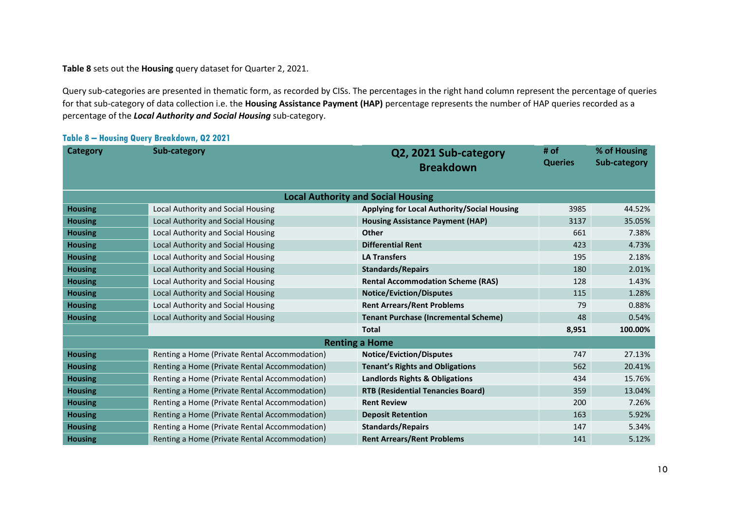#### **Table 8** sets out the **Housing** query dataset for Quarter 2, 2021.

Query sub-categories are presented in thematic form, as recorded by CISs. The percentages in the right hand column represent the percentage of queries for that sub-category of data collection i.e. the **Housing Assistance Payment (HAP)** percentage represents the number of HAP queries recorded as a percentage of the *Local Authority and Social Housing* sub-category.

### **Category Sub-category Q2, 2021 Sub-category Breakdown # of Queries % of Housing Sub-category Local Authority and Social Housing Housing** Local Authority and Social Housing **Applying for Local Authority/Social Housing** 3985 44.52% **Housing Local Authority and Social Housing Community Authority Authority and Social Housing Community Authority Authority and Social Housing Community Authority and Social Housing Community Authority and Social Housing Co Housing 1988 Local Authority and Social Housing 1998 Community Community Community Authority and Social Housing 1998 Community Authority and Social Housing 1998 Community Authority and Social Housing 1998 Community Author Housing 1988 Local Authority and Social Housing 1998 Contract Authority and Social Housing 1998 A.73% A.73% Housing 195 2.18%** Local Authority and Social Housing 195 2.18% **Housing** Local Authority and Social Housing **Standards/Repairs** 180 2.01% **Housing 1.0 Local Authority and Social Housing 1.43% Rental Accommodation Scheme (RAS)** 1.438 1.43% **Housing 1.28%** Local Authority and Social Housing **Notice/Eviction/Disputes** 1.28% **Housing** Local Authority and Social Housing **Rent Arrears/Rent Problems** 79 0.88% **Housing** Local Authority and Social Housing **Tenant Purchase (Incremental Scheme)** 48 0.54% **Total 8,951 100.00% Renting a Home Housing Renting a Home (Private Rental Accommodation) <b>Notice/Eviction/Disputes** 747 27.13% **Housing Renting a Home (Private Rental Accommodation) Tenant's Rights and Obligations** 562 562 20.41% **Housing Common Renting a Home (Private Rental Accommodation) <b>Landlords Rights & Obligations** 434 4 15.76% **Housing** Renting a Home (Private Rental Accommodation) **RTB (Residential Tenancies Board)** 359 13.04% **Housing Renting a Home (Private Rental Accommodation) <b>Rent Review** 200 200 7.26% **Housing 163** Renting a Home (Private Rental Accommodation) **Deposit Retention** 163 163 5.92% **Housing** Renting a Home (Private Rental Accommodation) **Standards/Repairs** 147 5.34% **Housing Renting a Home (Private Rental Accommodation) Rent Arrears/Rent Problems** 141 141 5.12%

#### **Table 8 – Housing Query Breakdown, Q2 2021**